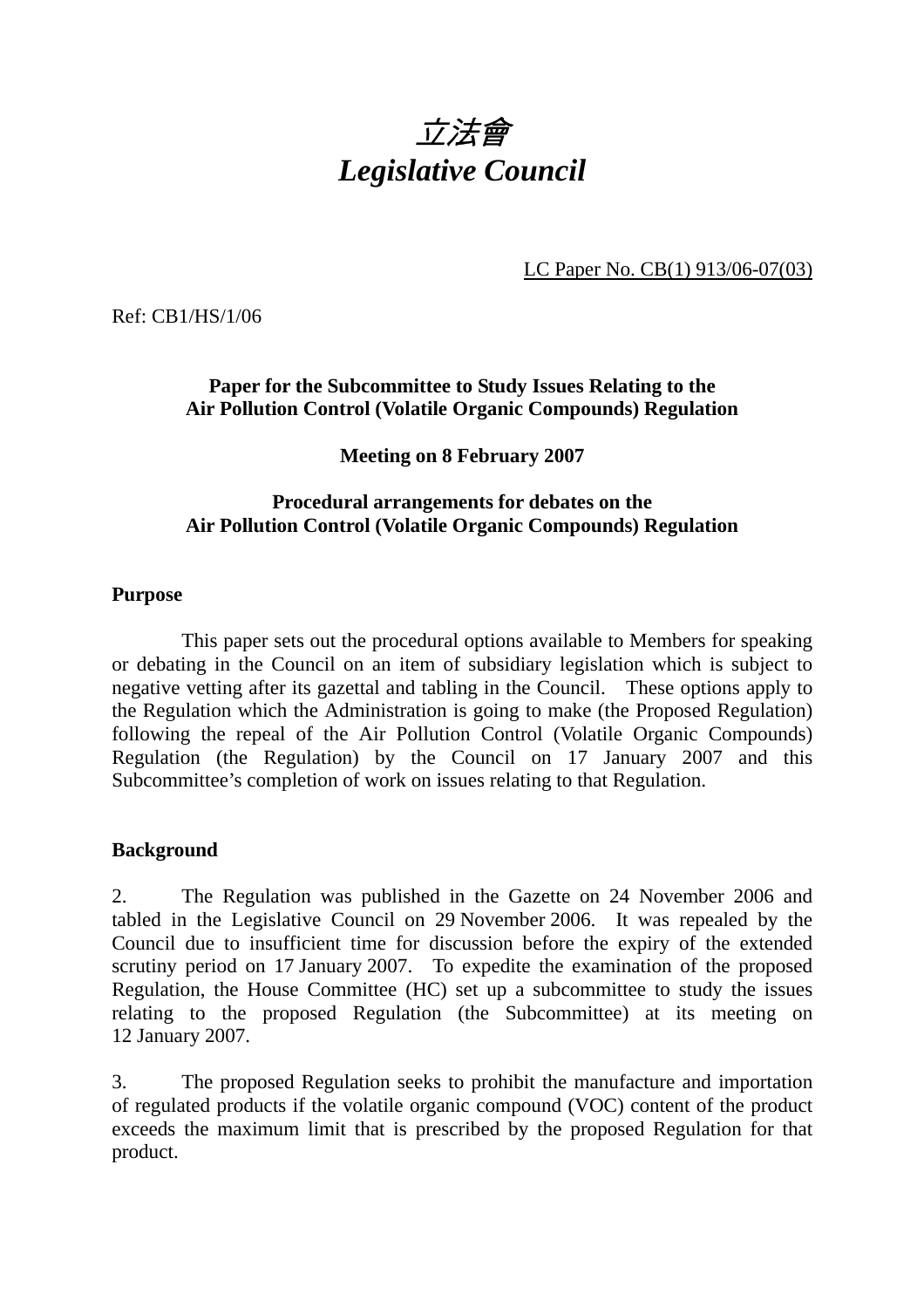

LC Paper No. CB(1) 913/06-07(03)

Ref: CB1/HS/1/06

# **Paper for the Subcommittee to Study Issues Relating to the Air Pollution Control (Volatile Organic Compounds) Regulation**

## **Meeting on 8 February 2007**

### **Procedural arrangements for debates on the Air Pollution Control (Volatile Organic Compounds) Regulation**

#### **Purpose**

 This paper sets out the procedural options available to Members for speaking or debating in the Council on an item of subsidiary legislation which is subject to negative vetting after its gazettal and tabling in the Council. These options apply to the Regulation which the Administration is going to make (the Proposed Regulation) following the repeal of the Air Pollution Control (Volatile Organic Compounds) Regulation (the Regulation) by the Council on 17 January 2007 and this Subcommittee's completion of work on issues relating to that Regulation.

## **Background**

2. The Regulation was published in the Gazette on 24 November 2006 and tabled in the Legislative Council on 29 November 2006. It was repealed by the Council due to insufficient time for discussion before the expiry of the extended scrutiny period on 17 January 2007. To expedite the examination of the proposed Regulation, the House Committee (HC) set up a subcommittee to study the issues relating to the proposed Regulation (the Subcommittee) at its meeting on 12 January 2007.

3. The proposed Regulation seeks to prohibit the manufacture and importation of regulated products if the volatile organic compound (VOC) content of the product exceeds the maximum limit that is prescribed by the proposed Regulation for that product.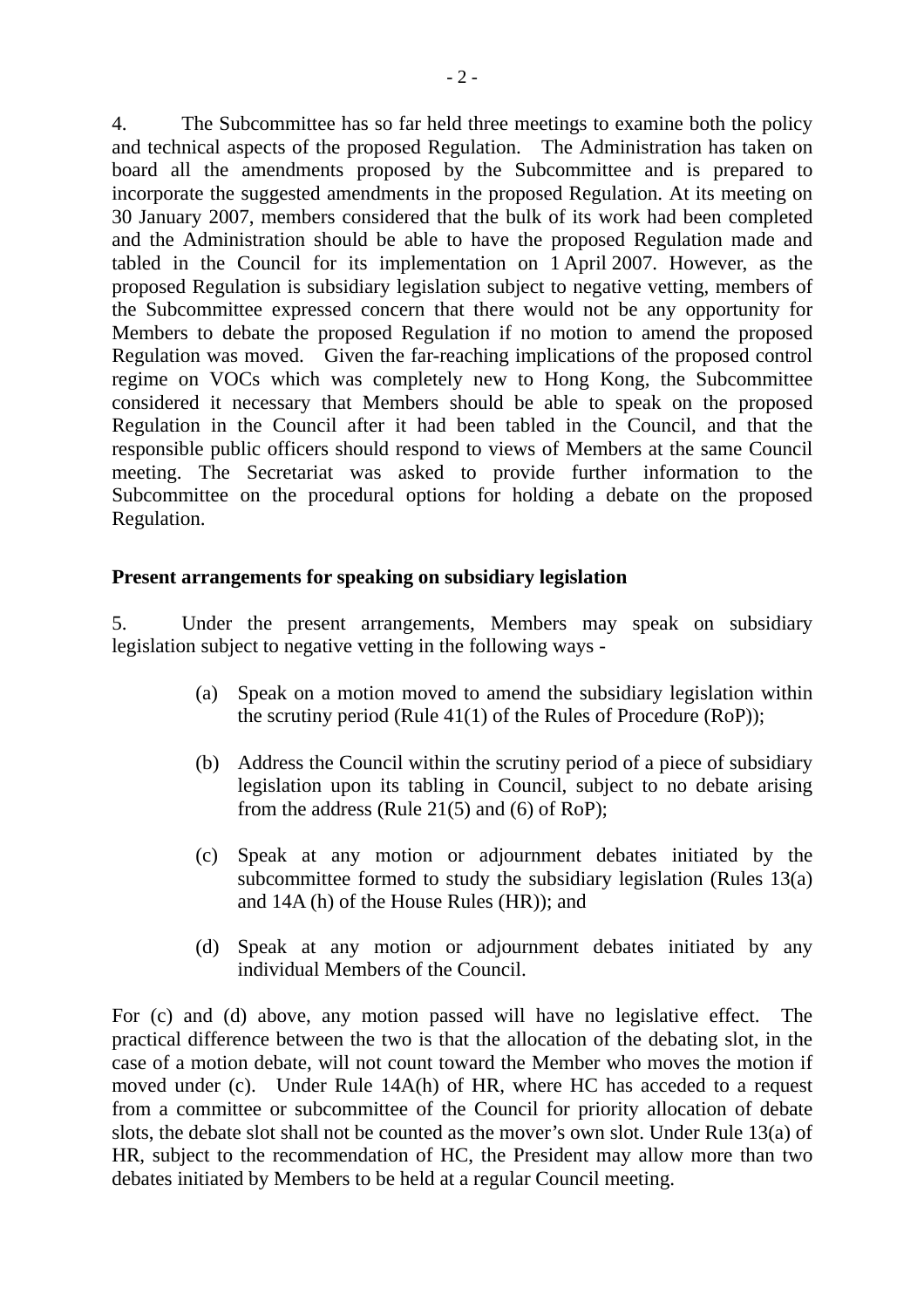4. The Subcommittee has so far held three meetings to examine both the policy and technical aspects of the proposed Regulation. The Administration has taken on board all the amendments proposed by the Subcommittee and is prepared to incorporate the suggested amendments in the proposed Regulation. At its meeting on 30 January 2007, members considered that the bulk of its work had been completed and the Administration should be able to have the proposed Regulation made and tabled in the Council for its implementation on 1 April 2007. However, as the proposed Regulation is subsidiary legislation subject to negative vetting, members of the Subcommittee expressed concern that there would not be any opportunity for Members to debate the proposed Regulation if no motion to amend the proposed Regulation was moved. Given the far-reaching implications of the proposed control regime on VOCs which was completely new to Hong Kong, the Subcommittee considered it necessary that Members should be able to speak on the proposed Regulation in the Council after it had been tabled in the Council, and that the responsible public officers should respond to views of Members at the same Council meeting. The Secretariat was asked to provide further information to the Subcommittee on the procedural options for holding a debate on the proposed Regulation.

#### **Present arrangements for speaking on subsidiary legislation**

5. Under the present arrangements, Members may speak on subsidiary legislation subject to negative vetting in the following ways -

- (a) Speak on a motion moved to amend the subsidiary legislation within the scrutiny period (Rule 41(1) of the Rules of Procedure (RoP));
- (b) Address the Council within the scrutiny period of a piece of subsidiary legislation upon its tabling in Council, subject to no debate arising from the address (Rule 21(5) and (6) of RoP);
- (c) Speak at any motion or adjournment debates initiated by the subcommittee formed to study the subsidiary legislation (Rules 13(a) and 14A (h) of the House Rules (HR)); and
- (d) Speak at any motion or adjournment debates initiated by any individual Members of the Council.

For (c) and (d) above, any motion passed will have no legislative effect. The practical difference between the two is that the allocation of the debating slot, in the case of a motion debate, will not count toward the Member who moves the motion if moved under (c). Under Rule 14A(h) of HR, where HC has acceded to a request from a committee or subcommittee of the Council for priority allocation of debate slots, the debate slot shall not be counted as the mover's own slot. Under Rule 13(a) of HR, subject to the recommendation of HC, the President may allow more than two debates initiated by Members to be held at a regular Council meeting.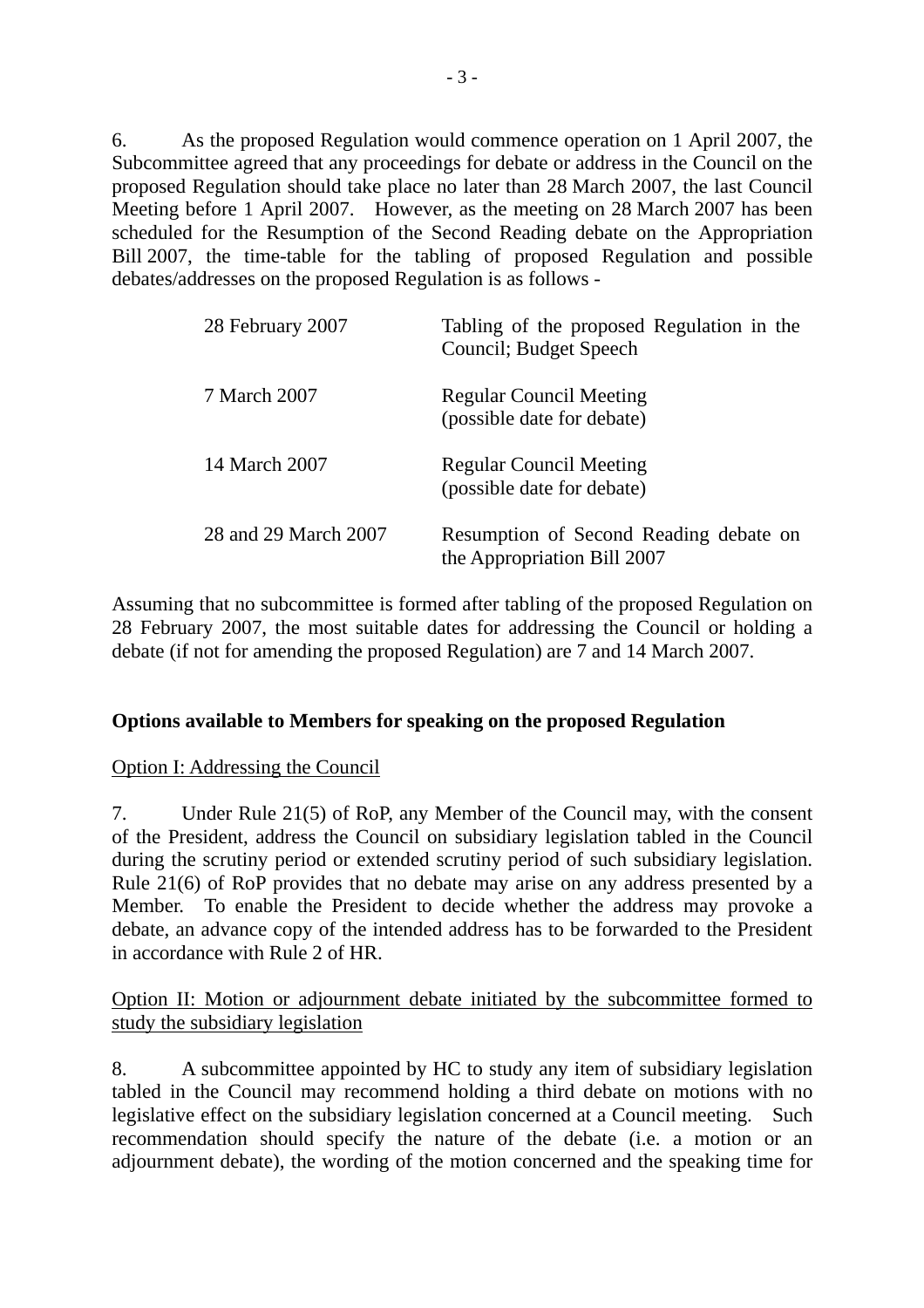6. As the proposed Regulation would commence operation on 1 April 2007, the Subcommittee agreed that any proceedings for debate or address in the Council on the proposed Regulation should take place no later than 28 March 2007, the last Council Meeting before 1 April 2007. However, as the meeting on 28 March 2007 has been scheduled for the Resumption of the Second Reading debate on the Appropriation Bill 2007, the time-table for the tabling of proposed Regulation and possible debates/addresses on the proposed Regulation is as follows -

| 28 February 2007     | Tabling of the proposed Regulation in the<br>Council; Budget Speech   |
|----------------------|-----------------------------------------------------------------------|
| 7 March 2007         | <b>Regular Council Meeting</b><br>(possible date for debate)          |
| 14 March 2007        | <b>Regular Council Meeting</b><br>(possible date for debate)          |
| 28 and 29 March 2007 | Resumption of Second Reading debate on<br>the Appropriation Bill 2007 |

Assuming that no subcommittee is formed after tabling of the proposed Regulation on 28 February 2007, the most suitable dates for addressing the Council or holding a debate (if not for amending the proposed Regulation) are 7 and 14 March 2007.

## **Options available to Members for speaking on the proposed Regulation**

Option I: Addressing the Council

7. Under Rule 21(5) of RoP, any Member of the Council may, with the consent of the President, address the Council on subsidiary legislation tabled in the Council during the scrutiny period or extended scrutiny period of such subsidiary legislation. Rule 21(6) of RoP provides that no debate may arise on any address presented by a Member. To enable the President to decide whether the address may provoke a debate, an advance copy of the intended address has to be forwarded to the President in accordance with Rule 2 of HR.

#### Option II: Motion or adjournment debate initiated by the subcommittee formed to study the subsidiary legislation

8. A subcommittee appointed by HC to study any item of subsidiary legislation tabled in the Council may recommend holding a third debate on motions with no legislative effect on the subsidiary legislation concerned at a Council meeting. Such recommendation should specify the nature of the debate (i.e. a motion or an adjournment debate), the wording of the motion concerned and the speaking time for